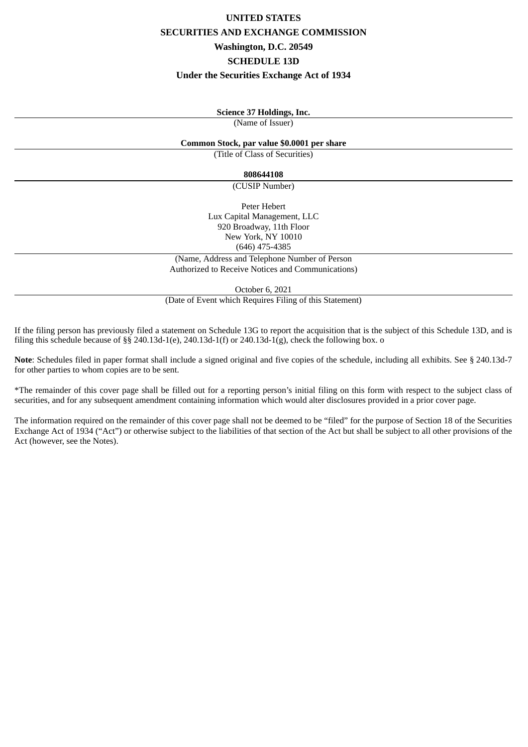# **UNITED STATES SECURITIES AND EXCHANGE COMMISSION Washington, D.C. 20549 SCHEDULE 13D Under the Securities Exchange Act of 1934**

## **Science 37 Holdings, Inc.**

(Name of Issuer)

#### **Common Stock, par value \$0.0001 per share**

(Title of Class of Securities)

## **808644108**

(CUSIP Number)

Peter Hebert Lux Capital Management, LLC 920 Broadway, 11th Floor New York, NY 10010 (646) 475-4385

(Name, Address and Telephone Number of Person Authorized to Receive Notices and Communications)

October 6, 2021

(Date of Event which Requires Filing of this Statement)

If the filing person has previously filed a statement on Schedule 13G to report the acquisition that is the subject of this Schedule 13D, and is filing this schedule because of §§ 240.13d-1(e), 240.13d-1(f) or 240.13d-1(g), check the following box. o

**Note**: Schedules filed in paper format shall include a signed original and five copies of the schedule, including all exhibits. See § 240.13d-7 for other parties to whom copies are to be sent.

\*The remainder of this cover page shall be filled out for a reporting person's initial filing on this form with respect to the subject class of securities, and for any subsequent amendment containing information which would alter disclosures provided in a prior cover page.

The information required on the remainder of this cover page shall not be deemed to be "filed" for the purpose of Section 18 of the Securities Exchange Act of 1934 ("Act") or otherwise subject to the liabilities of that section of the Act but shall be subject to all other provisions of the Act (however, see the Notes).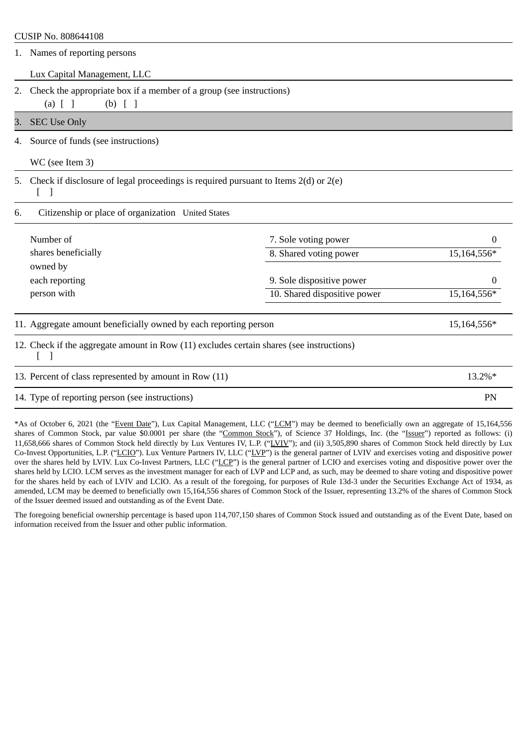# CUSIP No. 808644108 1. Names of reporting persons

Lux Capital Management, LLC

2. Check the appropriate box if a member of a group (see instructions)

(a)  $[ ]$  (b)  $[ ]$ 

3. SEC Use Only

4. Source of funds (see instructions)

WC (see Item 3)

5. Check if disclosure of legal proceedings is required pursuant to Items 2(d) or 2(e)

 $\lceil$   $\rceil$ 

6. Citizenship or place of organization United States

| Number of           | 7. Sole voting power         | 0           |
|---------------------|------------------------------|-------------|
| shares beneficially | 8. Shared voting power       | 15,164,556* |
| owned by            |                              |             |
| each reporting      | 9. Sole dispositive power    | 0           |
| person with         | 10. Shared dispositive power | 15,164,556* |

# 11. Aggregate amount beneficially owned by each reporting person 15,164,556\* 15,164,556\*

12. Check if the aggregate amount in Row (11) excludes certain shares (see instructions) [ ]

13. Percent of class represented by amount in Row (11) 13.2%\* 14. Type of reporting person (see instructions) PN

\*As of October 6, 2021 (the "Event Date"), Lux Capital Management, LLC ("LCM") may be deemed to beneficially own an aggregate of 15,164,556 shares of Common Stock, par value \$0.0001 per share (the "Common Stock"), of Science 37 Holdings, Inc. (the "Issuer") reported as follows: (i) 11,658,666 shares of Common Stock held directly by Lux Ventures IV, L.P. ("LVIV"); and (ii) 3,505,890 shares of Common Stock held directly by Lux Co-Invest Opportunities, L.P. ("LCIO"). Lux Venture Partners IV, LLC ("LVP") is the general partner of LVIV and exercises voting and dispositive power over the shares held by LVIV. Lux Co-Invest Partners, LLC ("LCP") is the general partner of LCIO and exercises voting and dispositive power over the shares held by LCIO. LCM serves as the investment manager for each of LVP and LCP and, as such, may be deemed to share voting and dispositive power for the shares held by each of LVIV and LCIO. As a result of the foregoing, for purposes of Rule 13d-3 under the Securities Exchange Act of 1934, as amended, LCM may be deemed to beneficially own 15,164,556 shares of Common Stock of the Issuer, representing 13.2% of the shares of Common Stock of the Issuer deemed issued and outstanding as of the Event Date.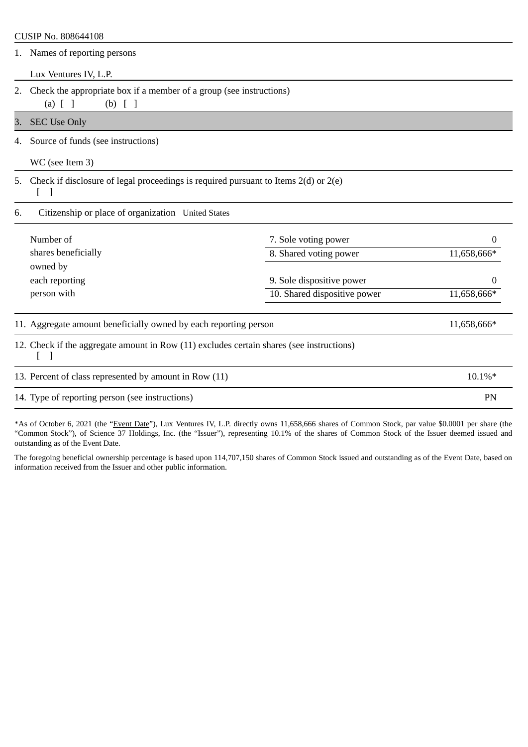## CUSIP No. 808644108

| 1. | Names of reporting persons |  |
|----|----------------------------|--|
|    |                            |  |

Lux Ventures IV, L.P.

2. Check the appropriate box if a member of a group (see instructions) (a) [ ] (b) [ ]

3. SEC Use Only

4. Source of funds (see instructions)

WC (see Item 3)

5. Check if disclosure of legal proceedings is required pursuant to Items 2(d) or 2(e)

[ ]

6. Citizenship or place of organization United States

| 8. Shared voting power       | 11,658,666* |
|------------------------------|-------------|
|                              |             |
| 9. Sole dispositive power    |             |
| 10. Shared dispositive power | 11,658,666* |
|                              |             |

12. Check if the aggregate amount in Row (11) excludes certain shares (see instructions) [ ]

| 13. Percent of class represented by amount in Row (11) | $10.1\%*$ |
|--------------------------------------------------------|-----------|
| 14. Type of reporting person (see instructions)        | PN        |

\*As of October 6, 2021 (the "Event Date"), Lux Ventures IV, L.P. directly owns 11,658,666 shares of Common Stock, par value \$0.0001 per share (the "Common Stock"), of Science 37 Holdings, Inc. (the "Issuer"), representing 10.1% of the shares of Common Stock of the Issuer deemed issued and outstanding as of the Event Date.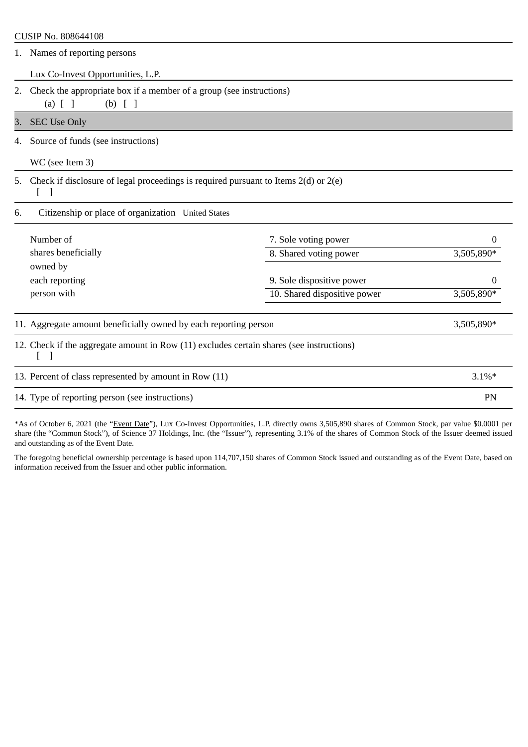| CUSIP No. 808644108                                                                                                 |                                                    |            |  |
|---------------------------------------------------------------------------------------------------------------------|----------------------------------------------------|------------|--|
| Names of reporting persons<br>1.                                                                                    |                                                    |            |  |
| Lux Co-Invest Opportunities, L.P.                                                                                   |                                                    |            |  |
| Check the appropriate box if a member of a group (see instructions)<br>2.                                           |                                                    |            |  |
| $(a)$ $[$ $]$<br>$(b)$ [ ]                                                                                          |                                                    |            |  |
| <b>SEC Use Only</b><br>3.                                                                                           |                                                    |            |  |
| Source of funds (see instructions)<br>4.                                                                            |                                                    |            |  |
| WC (see Item 3)                                                                                                     |                                                    |            |  |
| Check if disclosure of legal proceedings is required pursuant to Items $2(d)$ or $2(e)$<br>5.<br>$\lceil$ 1         |                                                    |            |  |
| 6.                                                                                                                  | Citizenship or place of organization United States |            |  |
| Number of                                                                                                           | 7. Sole voting power                               | 0          |  |
| shares beneficially                                                                                                 | 8. Shared voting power                             | 3,505,890* |  |
| owned by                                                                                                            |                                                    |            |  |
| each reporting                                                                                                      | 9. Sole dispositive power                          | 0          |  |
| person with                                                                                                         | 10. Shared dispositive power                       | 3,505,890* |  |
| 11. Aggregate amount beneficially owned by each reporting person                                                    |                                                    | 3,505,890* |  |
| 12. Check if the aggregate amount in Row (11) excludes certain shares (see instructions)<br>$\lfloor \quad \rfloor$ |                                                    |            |  |
| 13. Percent of class represented by amount in Row (11)                                                              |                                                    | $3.1\%*$   |  |
| 14. Type of reporting person (see instructions)                                                                     |                                                    | <b>PN</b>  |  |

\*As of October 6, 2021 (the "Event Date"), Lux Co-Invest Opportunities, L.P. directly owns 3,505,890 shares of Common Stock, par value \$0.0001 per share (the "Common Stock"), of Science 37 Holdings, Inc. (the "Issuer"), representing 3.1% of the shares of Common Stock of the Issuer deemed issued and outstanding as of the Event Date.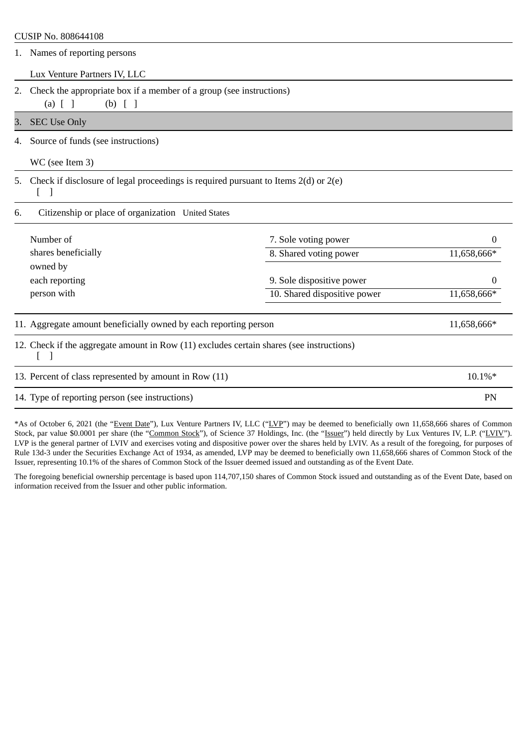|                                                          | CUSIP No. 808644108                                                                               |                              |             |  |
|----------------------------------------------------------|---------------------------------------------------------------------------------------------------|------------------------------|-------------|--|
|                                                          | 1. Names of reporting persons                                                                     |                              |             |  |
|                                                          | Lux Venture Partners IV, LLC                                                                      |                              |             |  |
| 2.                                                       | Check the appropriate box if a member of a group (see instructions)<br>$(a)$ $[$ $]$<br>$(b)$ [ ] |                              |             |  |
| 3.                                                       | <b>SEC Use Only</b>                                                                               |                              |             |  |
| 4.                                                       | Source of funds (see instructions)                                                                |                              |             |  |
|                                                          | WC (see Item 3)                                                                                   |                              |             |  |
| 5.                                                       | Check if disclosure of legal proceedings is required pursuant to Items $2(d)$ or $2(e)$           |                              |             |  |
| Citizenship or place of organization United States<br>6. |                                                                                                   |                              |             |  |
|                                                          | Number of                                                                                         | 7. Sole voting power         | 0           |  |
|                                                          | shares beneficially                                                                               | 8. Shared voting power       | 11,658,666* |  |
|                                                          | owned by<br>each reporting                                                                        | 9. Sole dispositive power    | 0           |  |
|                                                          | person with                                                                                       | 10. Shared dispositive power | 11,658,666* |  |
|                                                          | 11. Aggregate amount beneficially owned by each reporting person                                  |                              | 11,658,666* |  |
|                                                          | 12. Check if the aggregate amount in Row (11) excludes certain shares (see instructions)<br>-1    |                              |             |  |
|                                                          | 13. Percent of class represented by amount in Row (11)                                            |                              | 10.1%*      |  |
|                                                          |                                                                                                   |                              |             |  |

14. Type of reporting person (see instructions) PN

\*As of October 6, 2021 (the "Event Date"), Lux Venture Partners IV, LLC ("LVP") may be deemed to beneficially own 11,658,666 shares of Common Stock, par value \$0.0001 per share (the "Common Stock"), of Science 37 Holdings, Inc. (the "Issuer") held directly by Lux Ventures IV, L.P. ("LVIV"). LVP is the general partner of LVIV and exercises voting and dispositive power over the shares held by LVIV. As a result of the foregoing, for purposes of Rule 13d-3 under the Securities Exchange Act of 1934, as amended, LVP may be deemed to beneficially own 11,658,666 shares of Common Stock of the Issuer, representing 10.1% of the shares of Common Stock of the Issuer deemed issued and outstanding as of the Event Date.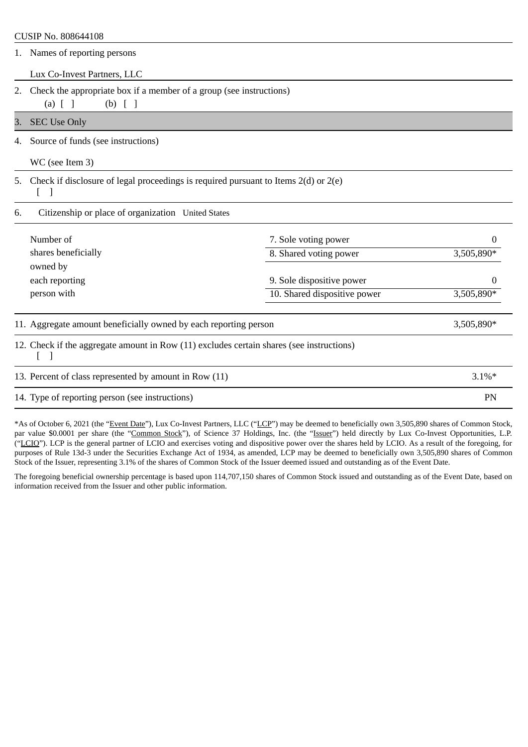|                                                                                               | CUSIP No. 808644108                                                                                 |                              |            |  |
|-----------------------------------------------------------------------------------------------|-----------------------------------------------------------------------------------------------------|------------------------------|------------|--|
|                                                                                               | 1. Names of reporting persons                                                                       |                              |            |  |
|                                                                                               | Lux Co-Invest Partners, LLC                                                                         |                              |            |  |
| 2.                                                                                            | Check the appropriate box if a member of a group (see instructions)<br>$(a)$ $[$ $]$<br>$(b)$ [ ]   |                              |            |  |
| <b>SEC Use Only</b><br>3.                                                                     |                                                                                                     |                              |            |  |
| 4.                                                                                            | Source of funds (see instructions)                                                                  |                              |            |  |
|                                                                                               | WC (see Item 3)                                                                                     |                              |            |  |
| Check if disclosure of legal proceedings is required pursuant to Items $2(d)$ or $2(e)$<br>5. |                                                                                                     |                              |            |  |
| 6.                                                                                            | Citizenship or place of organization United States                                                  |                              |            |  |
|                                                                                               | Number of                                                                                           | 7. Sole voting power         | 0          |  |
|                                                                                               | shares beneficially                                                                                 | 8. Shared voting power       | 3,505,890* |  |
|                                                                                               | owned by<br>each reporting                                                                          | 9. Sole dispositive power    | 0          |  |
|                                                                                               | person with                                                                                         | 10. Shared dispositive power | 3,505,890* |  |
|                                                                                               | 11. Aggregate amount beneficially owned by each reporting person                                    |                              | 3,505,890* |  |
|                                                                                               | 12. Check if the aggregate amount in Row (11) excludes certain shares (see instructions)<br>$\perp$ |                              |            |  |
|                                                                                               | 13. Percent of class represented by amount in Row (11)                                              |                              | $3.1\%*$   |  |
|                                                                                               |                                                                                                     |                              |            |  |

14. Type of reporting person (see instructions) PN

\*As of October 6, 2021 (the "Event Date"), Lux Co-Invest Partners, LLC ("LCP") may be deemed to beneficially own 3,505,890 shares of Common Stock, par value \$0.0001 per share (the "Common Stock"), of Science 37 Holdings, Inc. (the "Issuer") held directly by Lux Co-Invest Opportunities, L.P. ("LCIO"). LCP is the general partner of LCIO and exercises voting and dispositive power over the shares held by LCIO. As a result of the foregoing, for purposes of Rule 13d-3 under the Securities Exchange Act of 1934, as amended, LCP may be deemed to beneficially own 3,505,890 shares of Common Stock of the Issuer, representing 3.1% of the shares of Common Stock of the Issuer deemed issued and outstanding as of the Event Date.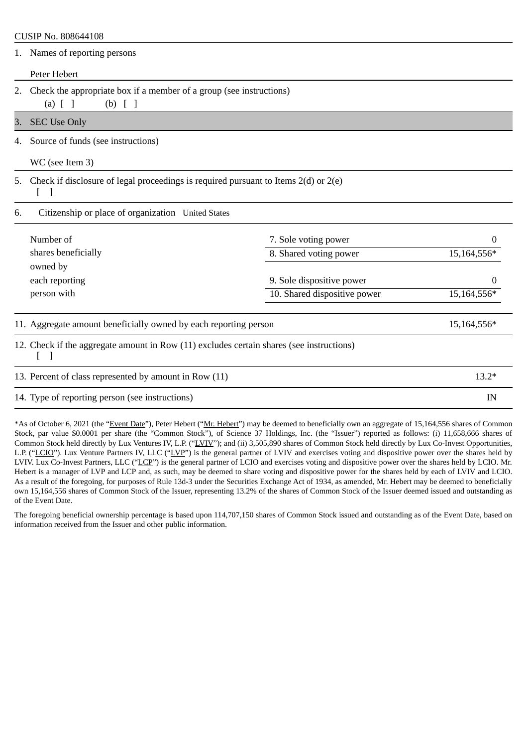## CUSIP No. 808644108

|                                                          | 1. Names of reporting persons                                                                     |                              |             |  |
|----------------------------------------------------------|---------------------------------------------------------------------------------------------------|------------------------------|-------------|--|
|                                                          | Peter Hebert                                                                                      |                              |             |  |
| 2.                                                       | Check the appropriate box if a member of a group (see instructions)<br>$(b)$ [ ]<br>$(a)$ $[$ $]$ |                              |             |  |
| 3.                                                       | <b>SEC Use Only</b>                                                                               |                              |             |  |
| 4.                                                       | Source of funds (see instructions)                                                                |                              |             |  |
|                                                          | WC (see Item 3)                                                                                   |                              |             |  |
| 5.                                                       | Check if disclosure of legal proceedings is required pursuant to Items $2(d)$ or $2(e)$           |                              |             |  |
| Citizenship or place of organization United States<br>6. |                                                                                                   |                              |             |  |
|                                                          | Number of                                                                                         | 7. Sole voting power         | 0           |  |
|                                                          | shares beneficially                                                                               | 8. Shared voting power       | 15,164,556* |  |
|                                                          | owned by                                                                                          |                              |             |  |
|                                                          | each reporting                                                                                    | 9. Sole dispositive power    | 0           |  |
|                                                          | person with                                                                                       | 10. Shared dispositive power | 15,164,556* |  |
|                                                          | 11. Aggregate amount beneficially owned by each reporting person                                  |                              | 15,164,556* |  |
|                                                          | 12. Check if the aggregate amount in Row (11) excludes certain shares (see instructions)          |                              |             |  |
|                                                          | 13. Percent of class represented by amount in Row (11)                                            |                              | $13.2*$     |  |

14. Type of reporting person (see instructions) **IN** IN

\*As of October 6, 2021 (the "Event Date"), Peter Hebert ("Mr. Hebert") may be deemed to beneficially own an aggregate of 15,164,556 shares of Common Stock, par value \$0.0001 per share (the "Common Stock"), of Science 37 Holdings, Inc. (the "Issuer") reported as follows: (i) 11,658,666 shares of Common Stock held directly by Lux Ventures IV, L.P. ("LVIV"); and (ii) 3,505,890 shares of Common Stock held directly by Lux Co-Invest Opportunities, L.P. ("LCIO"). Lux Venture Partners IV, LLC ("LVP") is the general partner of LVIV and exercises voting and dispositive power over the shares held by LVIV. Lux Co-Invest Partners, LLC ("LCP") is the general partner of LCIO and exercises voting and dispositive power over the shares held by LCIO. Mr. Hebert is a manager of LVP and LCP and, as such, may be deemed to share voting and dispositive power for the shares held by each of LVIV and LCIO. As a result of the foregoing, for purposes of Rule 13d-3 under the Securities Exchange Act of 1934, as amended, Mr. Hebert may be deemed to beneficially own 15,164,556 shares of Common Stock of the Issuer, representing 13.2% of the shares of Common Stock of the Issuer deemed issued and outstanding as of the Event Date.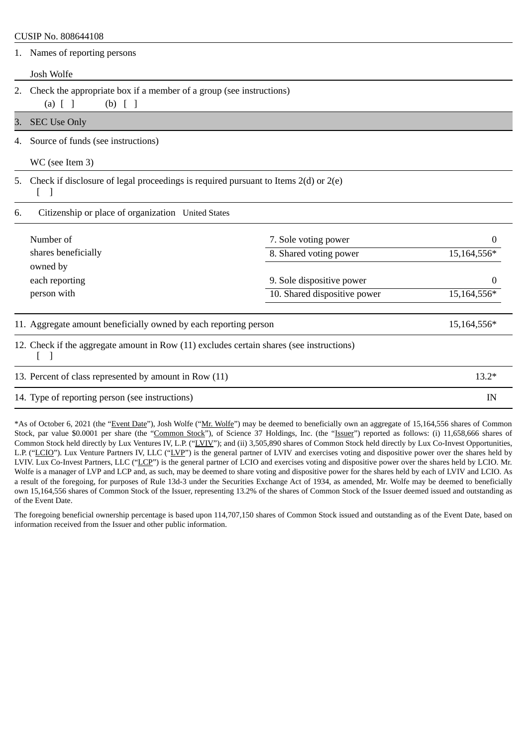# CUSIP No. 808644108

|                                                                                          | 1. Names of reporting persons                                                                     |                              |             |  |
|------------------------------------------------------------------------------------------|---------------------------------------------------------------------------------------------------|------------------------------|-------------|--|
|                                                                                          | Josh Wolfe                                                                                        |                              |             |  |
| 2.                                                                                       | Check the appropriate box if a member of a group (see instructions)<br>$(a)$ $[$ $]$<br>$(b)$ [ ] |                              |             |  |
| 3.                                                                                       | <b>SEC Use Only</b>                                                                               |                              |             |  |
| 4.                                                                                       | Source of funds (see instructions)                                                                |                              |             |  |
|                                                                                          | WC (see Item 3)                                                                                   |                              |             |  |
| 5.                                                                                       | Check if disclosure of legal proceedings is required pursuant to Items $2(d)$ or $2(e)$           |                              |             |  |
| Citizenship or place of organization United States<br>6.                                 |                                                                                                   |                              |             |  |
|                                                                                          | Number of                                                                                         | 7. Sole voting power         | 0           |  |
|                                                                                          | shares beneficially                                                                               | 8. Shared voting power       | 15,164,556* |  |
|                                                                                          | owned by                                                                                          |                              |             |  |
|                                                                                          | each reporting                                                                                    | 9. Sole dispositive power    |             |  |
|                                                                                          | person with                                                                                       | 10. Shared dispositive power | 15,164,556* |  |
|                                                                                          | 11. Aggregate amount beneficially owned by each reporting person                                  |                              | 15,164,556* |  |
| 12. Check if the aggregate amount in Row (11) excludes certain shares (see instructions) |                                                                                                   |                              |             |  |
|                                                                                          | 13. Percent of class represented by amount in Row (11)                                            |                              | $13.2*$     |  |
|                                                                                          |                                                                                                   |                              |             |  |

14. Type of reporting person (see instructions) IN

\*As of October 6, 2021 (the "Event Date"), Josh Wolfe ("Mr. Wolfe") may be deemed to beneficially own an aggregate of 15,164,556 shares of Common Stock, par value \$0.0001 per share (the "Common Stock"), of Science 37 Holdings, Inc. (the "Issuer") reported as follows: (i) 11,658,666 shares of Common Stock held directly by Lux Ventures IV, L.P. ("LVIV"); and (ii) 3,505,890 shares of Common Stock held directly by Lux Co-Invest Opportunities, L.P. ("LCIO"). Lux Venture Partners IV, LLC ("LVP") is the general partner of LVIV and exercises voting and dispositive power over the shares held by LVIV. Lux Co-Invest Partners, LLC ("LCP") is the general partner of LCIO and exercises voting and dispositive power over the shares held by LCIO. Mr. Wolfe is a manager of LVP and LCP and, as such, may be deemed to share voting and dispositive power for the shares held by each of LVIV and LCIO. As a result of the foregoing, for purposes of Rule 13d-3 under the Securities Exchange Act of 1934, as amended, Mr. Wolfe may be deemed to beneficially own 15,164,556 shares of Common Stock of the Issuer, representing 13.2% of the shares of Common Stock of the Issuer deemed issued and outstanding as of the Event Date.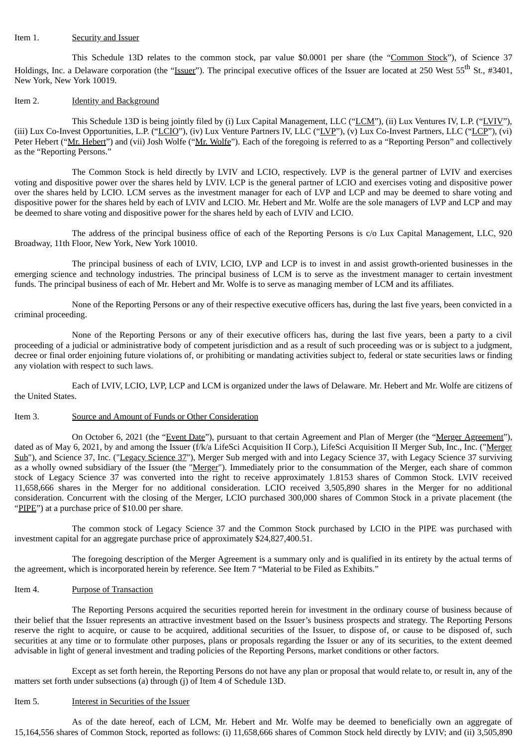#### Item 1. Security and Issuer

This Schedule 13D relates to the common stock, par value \$0.0001 per share (the "Common Stock"), of Science 37 Holdings, Inc. a Delaware corporation (the "<u>Issuer</u>"). The principal executive offices of the Issuer are located at 250 West 55<sup>th</sup> St., #3401, New York, New York 10019.

#### Item 2. **Identity and Background**

This Schedule 13D is being jointly filed by (i) Lux Capital Management, LLC ("LCM"), (ii) Lux Ventures IV, L.P. ("LVIV"), (iii) Lux Co-Invest Opportunities, L.P. ("LCIO"), (iv) Lux Venture Partners IV, LLC ("LVP"), (v) Lux Co-Invest Partners, LLC ("LCP"), (vi) Peter Hebert ("Mr. Hebert") and (vii) Josh Wolfe ("Mr. Wolfe"). Each of the foregoing is referred to as a "Reporting Person" and collectively as the "Reporting Persons."

The Common Stock is held directly by LVIV and LCIO, respectively. LVP is the general partner of LVIV and exercises voting and dispositive power over the shares held by LVIV. LCP is the general partner of LCIO and exercises voting and dispositive power over the shares held by LCIO. LCM serves as the investment manager for each of LVP and LCP and may be deemed to share voting and dispositive power for the shares held by each of LVIV and LCIO. Mr. Hebert and Mr. Wolfe are the sole managers of LVP and LCP and may be deemed to share voting and dispositive power for the shares held by each of LVIV and LCIO.

The address of the principal business office of each of the Reporting Persons is c/o Lux Capital Management, LLC, 920 Broadway, 11th Floor, New York, New York 10010.

The principal business of each of LVIV, LCIO, LVP and LCP is to invest in and assist growth-oriented businesses in the emerging science and technology industries. The principal business of LCM is to serve as the investment manager to certain investment funds. The principal business of each of Mr. Hebert and Mr. Wolfe is to serve as managing member of LCM and its affiliates.

None of the Reporting Persons or any of their respective executive officers has, during the last five years, been convicted in a criminal proceeding.

None of the Reporting Persons or any of their executive officers has, during the last five years, been a party to a civil proceeding of a judicial or administrative body of competent jurisdiction and as a result of such proceeding was or is subject to a judgment, decree or final order enjoining future violations of, or prohibiting or mandating activities subject to, federal or state securities laws or finding any violation with respect to such laws.

Each of LVIV, LCIO, LVP, LCP and LCM is organized under the laws of Delaware. Mr. Hebert and Mr. Wolfe are citizens of the United States.

#### Item 3. Source and Amount of Funds or Other Consideration

On October 6, 2021 (the "Event Date"), pursuant to that certain Agreement and Plan of Merger (the "Merger Agreement"), dated as of May 6, 2021, by and among the Issuer (f/k/a LifeSci Acquisition II Corp.), LifeSci Acquisition II Merger Sub, Inc., Inc. ("Merger Sub"), and Science 37, Inc. ("Legacy Science 37"), Merger Sub merged with and into Legacy Science 37, with Legacy Science 37 surviving as a wholly owned subsidiary of the Issuer (the "Merger"). Immediately prior to the consummation of the Merger, each share of common stock of Legacy Science 37 was converted into the right to receive approximately 1.8153 shares of Common Stock. LVIV received 11,658,666 shares in the Merger for no additional consideration. LCIO received 3,505,890 shares in the Merger for no additional consideration. Concurrent with the closing of the Merger, LCIO purchased 300,000 shares of Common Stock in a private placement (the "PIPE") at a purchase price of \$10.00 per share.

The common stock of Legacy Science 37 and the Common Stock purchased by LCIO in the PIPE was purchased with investment capital for an aggregate purchase price of approximately \$24,827,400.51.

The foregoing description of the Merger Agreement is a summary only and is qualified in its entirety by the actual terms of the agreement, which is incorporated herein by reference. See Item 7 "Material to be Filed as Exhibits."

#### Item 4. Purpose of Transaction

The Reporting Persons acquired the securities reported herein for investment in the ordinary course of business because of their belief that the Issuer represents an attractive investment based on the Issuer's business prospects and strategy. The Reporting Persons reserve the right to acquire, or cause to be acquired, additional securities of the Issuer, to dispose of, or cause to be disposed of, such securities at any time or to formulate other purposes, plans or proposals regarding the Issuer or any of its securities, to the extent deemed advisable in light of general investment and trading policies of the Reporting Persons, market conditions or other factors.

Except as set forth herein, the Reporting Persons do not have any plan or proposal that would relate to, or result in, any of the matters set forth under subsections (a) through (j) of Item 4 of Schedule 13D.

#### Item 5. Interest in Securities of the Issuer

As of the date hereof, each of LCM, Mr. Hebert and Mr. Wolfe may be deemed to beneficially own an aggregate of 15,164,556 shares of Common Stock, reported as follows: (i) 11,658,666 shares of Common Stock held directly by LVIV; and (ii) 3,505,890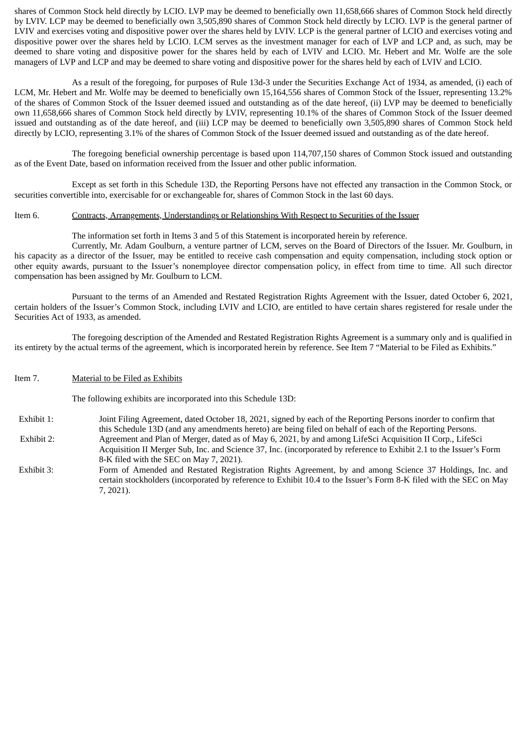shares of Common Stock held directly by LCIO. LVP may be deemed to beneficially own 11,658,666 shares of Common Stock held directly by LVIV. LCP may be deemed to beneficially own 3,505,890 shares of Common Stock held directly by LCIO. LVP is the general partner of LVIV and exercises voting and dispositive power over the shares held by LVIV. LCP is the general partner of LCIO and exercises voting and dispositive power over the shares held by LCIO. LCM serves as the investment manager for each of LVP and LCP and, as such, may be deemed to share voting and dispositive power for the shares held by each of LVIV and LCIO. Mr. Hebert and Mr. Wolfe are the sole managers of LVP and LCP and may be deemed to share voting and dispositive power for the shares held by each of LVIV and LCIO.

As a result of the foregoing, for purposes of Rule 13d-3 under the Securities Exchange Act of 1934, as amended, (i) each of LCM, Mr. Hebert and Mr. Wolfe may be deemed to beneficially own 15,164,556 shares of Common Stock of the Issuer, representing 13.2% of the shares of Common Stock of the Issuer deemed issued and outstanding as of the date hereof, (ii) LVP may be deemed to beneficially own 11,658,666 shares of Common Stock held directly by LVIV, representing 10.1% of the shares of Common Stock of the Issuer deemed issued and outstanding as of the date hereof, and (iii) LCP may be deemed to beneficially own 3,505,890 shares of Common Stock held directly by LCIO, representing 3.1% of the shares of Common Stock of the Issuer deemed issued and outstanding as of the date hereof.

The foregoing beneficial ownership percentage is based upon 114,707,150 shares of Common Stock issued and outstanding as of the Event Date, based on information received from the Issuer and other public information.

Except as set forth in this Schedule 13D, the Reporting Persons have not effected any transaction in the Common Stock, or securities convertible into, exercisable for or exchangeable for, shares of Common Stock in the last 60 days.

#### Item 6. Contracts, Arrangements, Understandings or Relationships With Respect to Securities of the Issuer

The information set forth in Items 3 and 5 of this Statement is incorporated herein by reference.

Currently, Mr. Adam Goulburn, a venture partner of LCM, serves on the Board of Directors of the Issuer. Mr. Goulburn, in his capacity as a director of the Issuer, may be entitled to receive cash compensation and equity compensation, including stock option or other equity awards, pursuant to the Issuer's nonemployee director compensation policy, in effect from time to time. All such director compensation has been assigned by Mr. Goulburn to LCM.

Pursuant to the terms of an Amended and Restated Registration Rights Agreement with the Issuer, dated October 6, 2021, certain holders of the Issuer's Common Stock, including LVIV and LCIO, are entitled to have certain shares registered for resale under the Securities Act of 1933, as amended.

The foregoing description of the Amended and Restated Registration Rights Agreement is a summary only and is qualified in its entirety by the actual terms of the agreement, which is incorporated herein by reference. See Item 7 "Material to be Filed as Exhibits."

Item 7. Material to be Filed as Exhibits

The following exhibits are incorporated into this Schedule 13D:

- Exhibit 1: Joint Filing Agreement, dated October 18, 2021, signed by each of the Reporting Persons inorder to confirm that this Schedule 13D (and any amendments hereto) are being filed on behalf of each of the Reporting Persons. Exhibit 2: Agreement and Plan of Merger, dated as of May 6, 2021, by and among LifeSci Acquisition II Corp., LifeSci
	- Acquisition II Merger Sub, Inc. and Science 37, Inc. (incorporated by reference to Exhibit 2.1 to the Issuer's Form 8-K filed with the SEC on May 7, 2021).
- Exhibit 3: Form of Amended and Restated Registration Rights Agreement, by and among Science 37 Holdings, Inc. and certain stockholders (incorporated by reference to Exhibit 10.4 to the Issuer's Form 8-K filed with the SEC on May 7, 2021).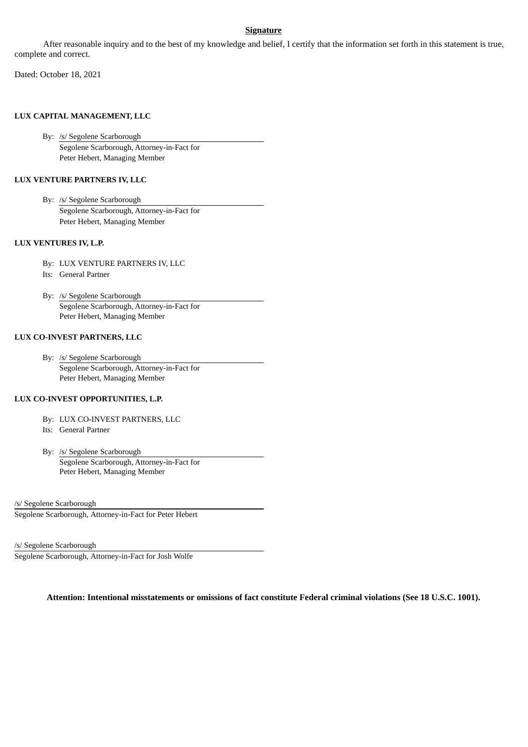# **Signature**

After reasonable inquiry and to the best of my knowledge and belief, I certify that the information set forth in this statement is true, complete and correct.

Dated: October 18, 2021

## **LUX CAPITAL MANAGEMENT, LLC**

By: /s/ Segolene Scarborough Segolene Scarborough, Attorney-in-Fact for Peter Hebert, Managing Member

# **LUX VENTURE PARTNERS IV, LLC**

By: /s/ Segolene Scarborough Segolene Scarborough, Attorney-in-Fact for Peter Hebert, Managing Member

## **LUX VENTURES IV, L.P.**

- By: LUX VENTURE PARTNERS IV, LLC
- Its: General Partner
- By: /s/ Segolene Scarborough Segolene Scarborough, Attorney-in-Fact for Peter Hebert, Managing Member

## **LUX CO-INVEST PARTNERS, LLC**

By: /s/ Segolene Scarborough Segolene Scarborough, Attorney-in-Fact for Peter Hebert, Managing Member

## **LUX CO-INVEST OPPORTUNITIES, L.P.**

- By: LUX CO-INVEST PARTNERS, LLC
- Its: General Partner
- By: /s/ Segolene Scarborough Segolene Scarborough, Attorney-in-Fact for Peter Hebert, Managing Member

/s/ Segolene Scarborough

Segolene Scarborough, Attorney-in-Fact for Peter Hebert

/s/ Segolene Scarborough

Segolene Scarborough, Attorney-in-Fact for Josh Wolfe

**Attention: Intentional misstatements or omissions of fact constitute Federal criminal violations (See 18 U.S.C. 1001).**